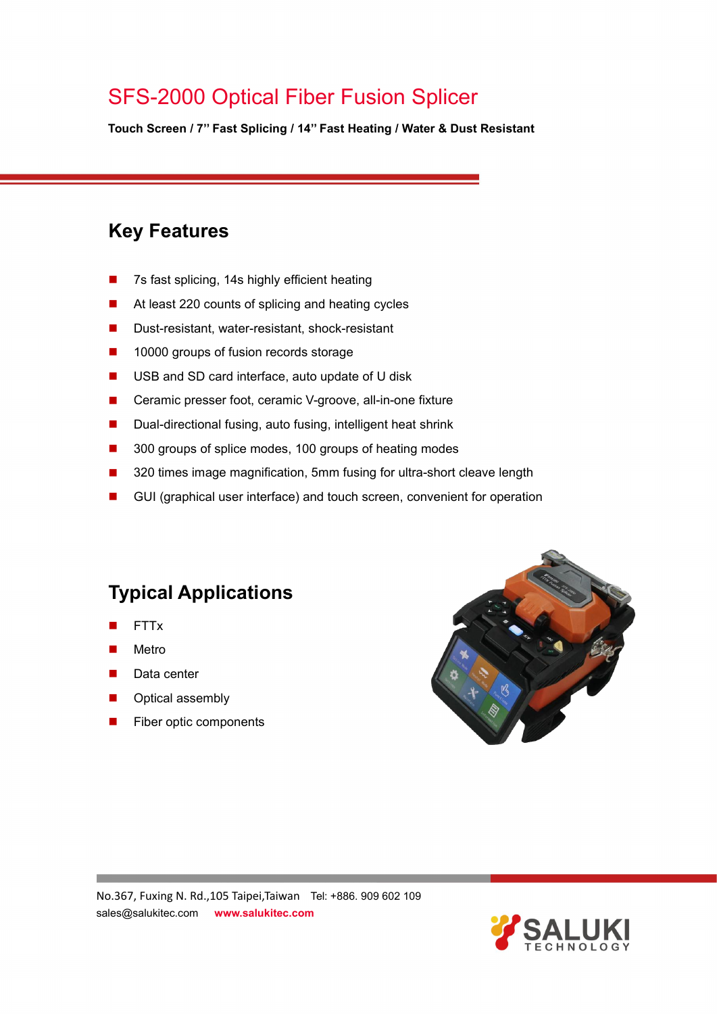**Touch Screen / 7'' Fast Splicing / 14'' Fast Heating / Water & Dust Resistant**

### **Key Features**

- 7s fast splicing, 14s highly efficient heating
- At least 220 counts of splicing and heating cycles
- Dust-resistant, water-resistant, shock-resistant
- 10000 groups of fusion records storage
- USB and SD card interface, auto update of U disk
- Ceramic presser foot, ceramic V-groove, all-in-one fixture
- Dual-directional fusing, auto fusing, intelligent heat shrink
- 300 groups of splice modes, 100 groups of heating modes
- 320 times image magnification, 5mm fusing for ultra-short cleave length
- GUI (graphical user interface) and touch screen, convenient for operation

### **Typical Applications**

- FTTx
- Metro
- Data center
- Optical assembly
- Fiber optic components



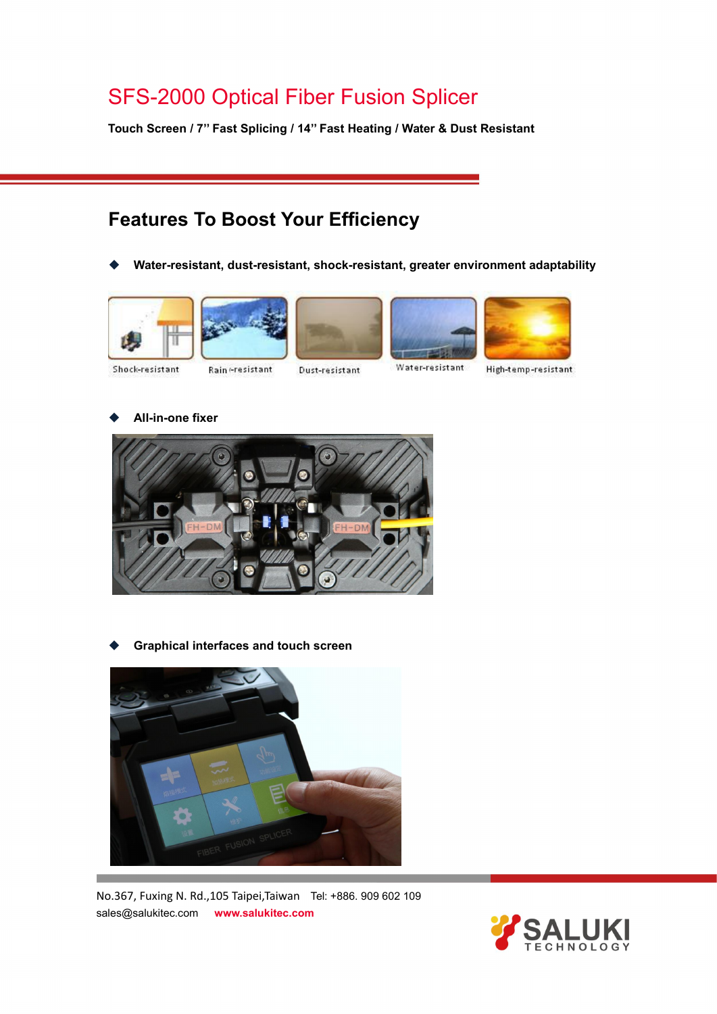**Touch Screen / 7'' Fast Splicing / 14'' Fast Heating / Water & Dust Resistant**

### **Features To Boost Your Efficiency**

**Water-resistant, dust-resistant, shock-resistant, greater environment adaptability**











Shock-resistant

Rain eresistant

Dust-resistant

High-temp-resistant

**All-in-one fixer**



**Graphical interfaces and touch screen**



No.367, Fuxing N. Rd.,105 Taipei,Taiwan Tel: +886. 909 602 109 sales@salukitec.com **www.salukitec.com**

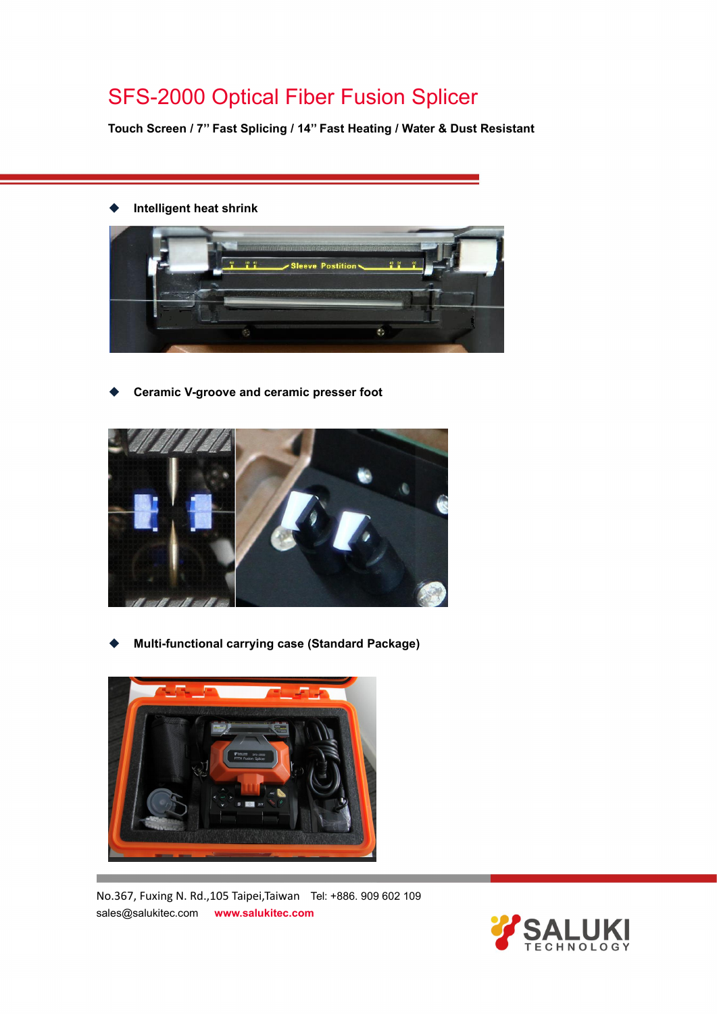**Touch Screen / 7'' Fast Splicing / 14'' Fast Heating / Water & Dust Resistant**

**Intelligent heat shrink**



**Ceramic V-groove and ceramic presser foot**



**Multi-functional carrying case (Standard Package)**



No.367, Fuxing N. Rd.,105 Taipei,Taiwan Tel: +886. 909 602 109 sales@salukitec.com **www.salukitec.com**

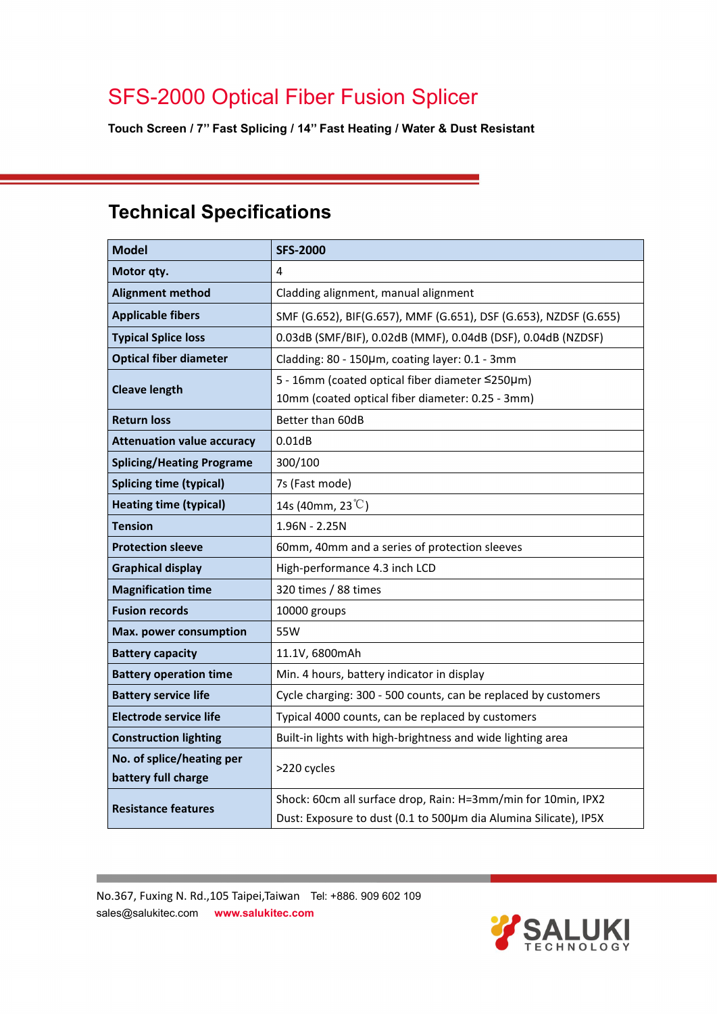**Touch Screen / 7'' Fast Splicing / 14'' Fast Heating / Water & Dust Resistant**

## **Technical Specifications**

| <b>Model</b>                                     | <b>SFS-2000</b>                                                  |  |
|--------------------------------------------------|------------------------------------------------------------------|--|
| Motor qty.                                       | 4                                                                |  |
| <b>Alignment method</b>                          | Cladding alignment, manual alignment                             |  |
| <b>Applicable fibers</b>                         | SMF (G.652), BIF(G.657), MMF (G.651), DSF (G.653), NZDSF (G.655) |  |
| <b>Typical Splice loss</b>                       | 0.03dB (SMF/BIF), 0.02dB (MMF), 0.04dB (DSF), 0.04dB (NZDSF)     |  |
| <b>Optical fiber diameter</b>                    | Cladding: 80 - 150µm, coating layer: 0.1 - 3mm                   |  |
| <b>Cleave length</b>                             | 5 - 16mm (coated optical fiber diameter ≤250µm)                  |  |
|                                                  | 10mm (coated optical fiber diameter: 0.25 - 3mm)                 |  |
| <b>Return loss</b>                               | Better than 60dB                                                 |  |
| <b>Attenuation value accuracy</b>                | 0.01dB                                                           |  |
| <b>Splicing/Heating Programe</b>                 | 300/100                                                          |  |
| <b>Splicing time (typical)</b>                   | 7s (Fast mode)                                                   |  |
| <b>Heating time (typical)</b>                    | 14s (40mm, 23 $\degree$ C)                                       |  |
| <b>Tension</b>                                   | $1.96N - 2.25N$                                                  |  |
| <b>Protection sleeve</b>                         | 60mm, 40mm and a series of protection sleeves                    |  |
| <b>Graphical display</b>                         | High-performance 4.3 inch LCD                                    |  |
| <b>Magnification time</b>                        | 320 times / 88 times                                             |  |
| <b>Fusion records</b>                            | 10000 groups                                                     |  |
| Max. power consumption                           | 55W                                                              |  |
| <b>Battery capacity</b>                          | 11.1V, 6800mAh                                                   |  |
| <b>Battery operation time</b>                    | Min. 4 hours, battery indicator in display                       |  |
| <b>Battery service life</b>                      | Cycle charging: 300 - 500 counts, can be replaced by customers   |  |
| <b>Electrode service life</b>                    | Typical 4000 counts, can be replaced by customers                |  |
| <b>Construction lighting</b>                     | Built-in lights with high-brightness and wide lighting area      |  |
| No. of splice/heating per<br>battery full charge | >220 cycles                                                      |  |
| <b>Resistance features</b>                       | Shock: 60cm all surface drop, Rain: H=3mm/min for 10min, IPX2    |  |
|                                                  | Dust: Exposure to dust (0.1 to 500µm dia Alumina Silicate), IP5X |  |

No.367, Fuxing N. Rd.,105 Taipei,Taiwan Tel: +886. 909 602 109